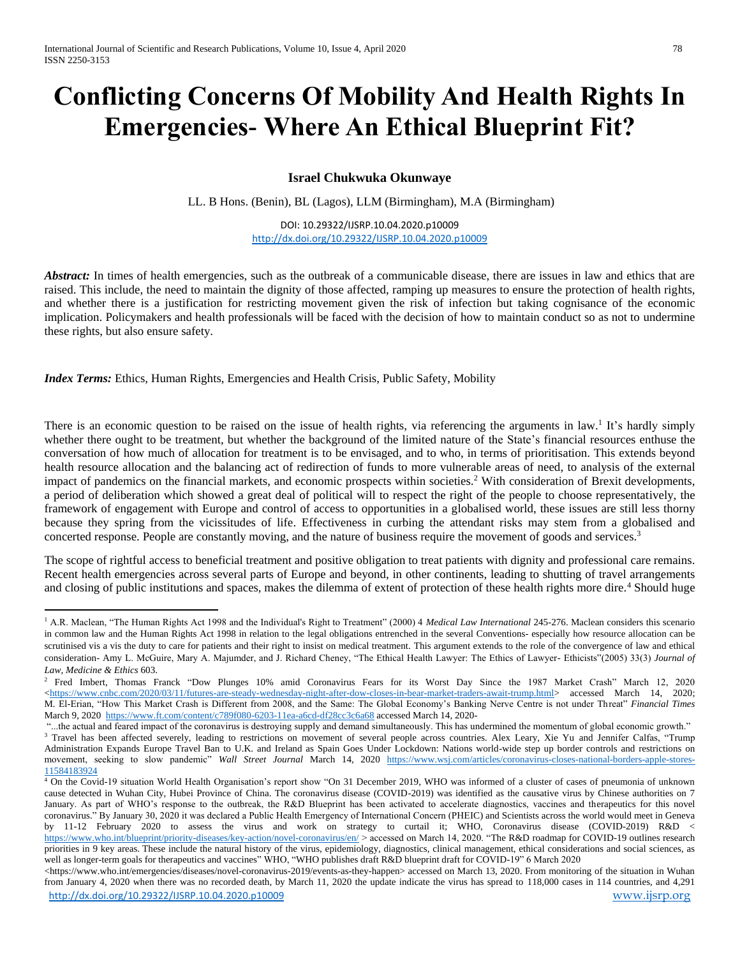## **Conflicting Concerns Of Mobility And Health Rights In Emergencies- Where An Ethical Blueprint Fit?**

## **Israel Chukwuka Okunwaye**

LL. B Hons. (Benin), BL (Lagos), LLM (Birmingham), M.A (Birmingham)

DOI: 10.29322/IJSRP.10.04.2020.p10009 <http://dx.doi.org/10.29322/IJSRP.10.04.2020.p10009>

*Abstract:* In times of health emergencies, such as the outbreak of a communicable disease, there are issues in law and ethics that are raised. This include, the need to maintain the dignity of those affected, ramping up measures to ensure the protection of health rights, and whether there is a justification for restricting movement given the risk of infection but taking cognisance of the economic implication. Policymakers and health professionals will be faced with the decision of how to maintain conduct so as not to undermine these rights, but also ensure safety.

*Index Terms:* Ethics, Human Rights, Emergencies and Health Crisis, Public Safety, Mobility

 $\overline{a}$ 

There is an economic question to be raised on the issue of health rights, via referencing the arguments in law.<sup>1</sup> It's hardly simply whether there ought to be treatment, but whether the background of the limited nature of the State's financial resources enthuse the conversation of how much of allocation for treatment is to be envisaged, and to who, in terms of prioritisation. This extends beyond health resource allocation and the balancing act of redirection of funds to more vulnerable areas of need, to analysis of the external impact of pandemics on the financial markets, and economic prospects within societies.<sup>2</sup> With consideration of Brexit developments, a period of deliberation which showed a great deal of political will to respect the right of the people to choose representatively, the framework of engagement with Europe and control of access to opportunities in a globalised world, these issues are still less thorny because they spring from the vicissitudes of life. Effectiveness in curbing the attendant risks may stem from a globalised and concerted response. People are constantly moving, and the nature of business require the movement of goods and services.<sup>3</sup>

The scope of rightful access to beneficial treatment and positive obligation to treat patients with dignity and professional care remains. Recent health emergencies across several parts of Europe and beyond, in other continents, leading to shutting of travel arrangements and closing of public institutions and spaces, makes the dilemma of extent of protection of these health rights more dire.<sup>4</sup> Should huge

<sup>&</sup>lt;sup>1</sup> A.R. Maclean, "The Human Rights Act 1998 and the Individual's Right to Treatment" (2000) 4 *Medical Law International* 245-276. Maclean considers this scenario in common law and the Human Rights Act 1998 in relation to the legal obligations entrenched in the several Conventions- especially how resource allocation can be scrutinised vis a vis the duty to care for patients and their right to insist on medical treatment. This argument extends to the role of the convergence of law and ethical consideration- Amy L. McGuire, Mary A. Majumder, and J. Richard Cheney, "The Ethical Health Lawyer: The Ethics of Lawyer- Ethicists"(2005) 33(3) *Journal of Law, Medicine & Ethics* 603.

<sup>&</sup>lt;sup>2</sup> Fred Imbert, Thomas Franck "Dow Plunges 10% amid Coronavirus Fears for its Worst Day Since the 1987 Market Crash" March 12, 2020 [<https://www.cnbc.com/2020/03/11/futures-are-steady-wednesday-night-after-dow-closes-in-bear-market-traders-await-trump.html>](https://www.cnbc.com/2020/03/11/futures-are-steady-wednesday-night-after-dow-closes-in-bear-market-traders-await-trump.html) accessed March 14, 2020; M. El-Erian, "How This Market Crash is Different from 2008, and the Same: The Global Economy's Banking Nerve Centre is not under Threat" *Financial Times*  March 9, 2020<https://www.ft.com/content/c789f080-6203-11ea-a6cd-df28cc3c6a68> accessed March 14, 2020-

<sup>&</sup>quot;...the actual and feared impact of the coronavirus is destroying supply and demand simultaneously. This has undermined the momentum of global economic growth." <sup>3</sup> Travel has been affected severely, leading to restrictions on movement of several people across countries. Alex Leary, Xie Yu and Jennifer Calfas, "Trump Administration Expands Europe Travel Ban to U.K. and Ireland as Spain Goes Under Lockdown: Nations world-wide step up border controls and restrictions on movement, seeking to slow pandemic" *Wall Street Journal* March 14, 2020 [https://www.wsj.com/articles/coronavirus-closes-national-borders-apple-stores-](https://www.wsj.com/articles/coronavirus-closes-national-borders-apple-stores-11584183924)[11584183924](https://www.wsj.com/articles/coronavirus-closes-national-borders-apple-stores-11584183924)

<sup>4</sup> On the Covid-19 situation World Health Organisation's report show "On 31 December 2019, WHO was informed of a cluster of cases of pneumonia of unknown cause detected in Wuhan City, Hubei Province of China. The coronavirus disease (COVID-2019) was identified as the causative virus by Chinese authorities on 7 January. As part of WHO's response to the outbreak, the R&D Blueprint has been activated to accelerate diagnostics, vaccines and therapeutics for this novel coronavirus." By January 30, 2020 it was declared a Public Health Emergency of International Concern (PHEIC) and Scientists across the world would meet in Geneva by 11-12 February 2020 to assess the virus and work on strategy to curtail it; WHO, Coronavirus disease (COVID-2019) R&D < <https://www.who.int/blueprint/priority-diseases/key-action/novel-coronavirus/en/> > accessed on March 14, 2020. "The R&D roadmap for COVID-19 outlines research priorities in 9 key areas. These include the natural history of the virus, epidemiology, diagnostics, clinical management, ethical considerations and social sciences, as well as longer-term goals for therapeutics and vaccines" WHO, "WHO publishes draft R&D blueprint draft for COVID-19" 6 March 2020

<http://dx.doi.org/10.29322/IJSRP.10.04.2020.p10009> [www.ijsrp.org](http://ijsrp.org/) <https://www.who.int/emergencies/diseases/novel-coronavirus-2019/events-as-they-happen> accessed on March 13, 2020. From monitoring of the situation in Wuhan from January 4, 2020 when there was no recorded death, by March 11, 2020 the update indicate the virus has spread to 118,000 cases in 114 countries, and 4,291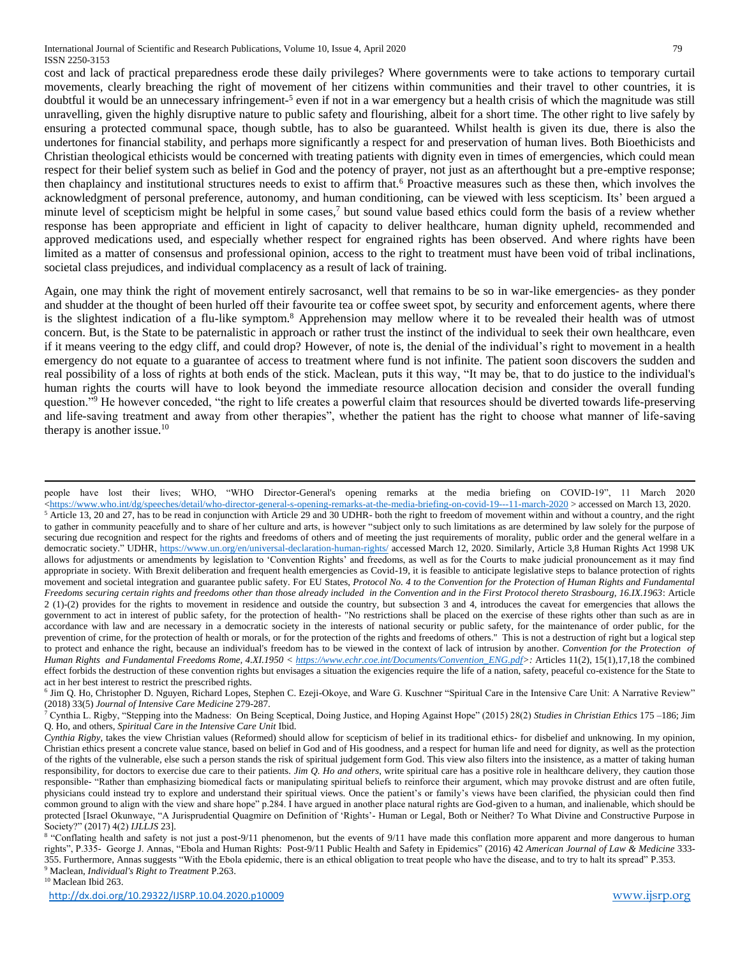cost and lack of practical preparedness erode these daily privileges? Where governments were to take actions to temporary curtail movements, clearly breaching the right of movement of her citizens within communities and their travel to other countries, it is doubtful it would be an unnecessary infringement-5 even if not in a war emergency but a health crisis of which the magnitude was still unravelling, given the highly disruptive nature to public safety and flourishing, albeit for a short time. The other right to live safely by ensuring a protected communal space, though subtle, has to also be guaranteed. Whilst health is given its due, there is also the undertones for financial stability, and perhaps more significantly a respect for and preservation of human lives. Both Bioethicists and Christian theological ethicists would be concerned with treating patients with dignity even in times of emergencies, which could mean respect for their belief system such as belief in God and the potency of prayer, not just as an afterthought but a pre-emptive response; then chaplaincy and institutional structures needs to exist to affirm that.<sup>6</sup> Proactive measures such as these then, which involves the acknowledgment of personal preference, autonomy, and human conditioning, can be viewed with less scepticism. Its' been argued a minute level of scepticism might be helpful in some cases,<sup>7</sup> but sound value based ethics could form the basis of a review whether response has been appropriate and efficient in light of capacity to deliver healthcare, human dignity upheld, recommended and approved medications used, and especially whether respect for engrained rights has been observed. And where rights have been limited as a matter of consensus and professional opinion, access to the right to treatment must have been void of tribal inclinations, societal class prejudices, and individual complacency as a result of lack of training.

Again, one may think the right of movement entirely sacrosanct, well that remains to be so in war-like emergencies- as they ponder and shudder at the thought of been hurled off their favourite tea or coffee sweet spot, by security and enforcement agents, where there is the slightest indication of a flu-like symptom.<sup>8</sup> Apprehension may mellow where it to be revealed their health was of utmost concern. But, is the State to be paternalistic in approach or rather trust the instinct of the individual to seek their own healthcare, even if it means veering to the edgy cliff, and could drop? However, of note is, the denial of the individual's right to movement in a health emergency do not equate to a guarantee of access to treatment where fund is not infinite. The patient soon discovers the sudden and real possibility of a loss of rights at both ends of the stick. Maclean, puts it this way, "It may be, that to do justice to the individual's human rights the courts will have to look beyond the immediate resource allocation decision and consider the overall funding question."<sup>9</sup> He however conceded, "the right to life creates a powerful claim that resources should be diverted towards life-preserving and life-saving treatment and away from other therapies", whether the patient has the right to choose what manner of life-saving therapy is another issue. $10$ 

<sup>10</sup> Maclean Ibid 263.

1

people have lost their lives; WHO, "WHO Director-General's opening remarks at the media briefing on COVID-19", 11 March 2020 [<https://www.who.int/dg/speeches/detail/who-director-general-s-opening-remarks-at-the-media-briefing-on-covid-19---11-march-2020](https://www.who.int/dg/speeches/detail/who-director-general-s-opening-remarks-at-the-media-briefing-on-covid-19---11-march-2020) > accessed on March 13, 2020.  $5$  Article 13, 20 and 27, has to be read in conjunction with Article 29 and 30 UDHR- both the right to freedom of movement within and without a country, and the right to gather in community peacefully and to share of her culture and arts, is however "subject only to such limitations as are determined by law solely for the purpose of securing due recognition and respect for the rights and freedoms of others and of meeting the just requirements of morality, public order and the general welfare in a democratic society." UDHR,<https://www.un.org/en/universal-declaration-human-rights/> accessed March 12, 2020. Similarly, Article 3,8 Human Rights Act 1998 UK allows for adjustments or amendments by legislation to 'Convention Rights' and freedoms, as well as for the Courts to make judicial pronouncement as it may find appropriate in society. With Brexit deliberation and frequent health emergencies as Covid-19, it is feasible to anticipate legislative steps to balance protection of rights movement and societal integration and guarantee public safety. For EU States, *Protocol No. 4 to the Convention for the Protection of Human Rights and Fundamental Freedoms securing certain rights and freedoms other than those already included in the Convention and in the First Protocol thereto Strasbourg, 16.IX.1963*: Article 2 (1)-(2) provides for the rights to movement in residence and outside the country, but subsection 3 and 4, introduces the caveat for emergencies that allows the government to act in interest of public safety, for the protection of health- "No restrictions shall be placed on the exercise of these rights other than such as are in accordance with law and are necessary in a democratic society in the interests of national security or public safety, for the maintenance of order public, for the prevention of crime, for the protection of health or morals, or for the protection of the rights and freedoms of others." This is not a destruction of right but a logical step to protect and enhance the right, because an individual's freedom has to be viewed in the context of lack of intrusion by another. *Convention for the Protection of Human Rights and Fundamental Freedoms Rome, 4.XI.1950 < [https://www.echr.coe.int/Documents/Convention\\_ENG.pdf>](https://www.echr.coe.int/Documents/Convention_ENG.pdf):* Articles 11(2), 15(1),17,18 the combined effect forbids the destruction of these convention rights but envisages a situation the exigencies require the life of a nation, safety, peaceful co-existence for the State to act in her best interest to restrict the prescribed rights.

<sup>6</sup> Jim Q. Ho, Christopher D. Nguyen, Richard Lopes, Stephen C. Ezeji-Okoye, and Ware G. Kuschner "Spiritual Care in the Intensive Care Unit: A Narrative Review" (2018) 33(5) *Journal of Intensive Care Medicine* 279-287.

<sup>7</sup> Cynthia L. Rigby, "Stepping into the Madness: On Being Sceptical, Doing Justice, and Hoping Against Hope" (2015) 28(2) *Studies in Christian Ethics* 175 –186; Jim Q. Ho, and others, *Spiritual Care in the Intensive Care Unit* Ibid.

*Cynthia Rigby*, takes the view Christian values (Reformed) should allow for scepticism of belief in its traditional ethics- for disbelief and unknowing. In my opinion, Christian ethics present a concrete value stance, based on belief in God and of His goodness, and a respect for human life and need for dignity, as well as the protection of the rights of the vulnerable, else such a person stands the risk of spiritual judgement form God. This view also filters into the insistence, as a matter of taking human responsibility, for doctors to exercise due care to their patients. *Jim Q. Ho and others*, write spiritual care has a positive role in healthcare delivery, they caution those responsible- "Rather than emphasizing biomedical facts or manipulating spiritual beliefs to reinforce their argument, which may provoke distrust and are often futile, physicians could instead try to explore and understand their spiritual views. Once the patient's or family's views have been clarified, the physician could then find common ground to align with the view and share hope" p.284. I have argued in another place natural rights are God-given to a human, and inalienable, which should be protected [Israel Okunwaye, "A Jurisprudential Quagmire on Definition of 'Rights'- Human or Legal, Both or Neither? To What Divine and Constructive Purpose in Society?" (2017) 4(2) *IJLLJS* 23].

<sup>&</sup>lt;sup>8</sup> "Conflating health and safety is not just a post-9/11 phenomenon, but the events of 9/11 have made this conflation more apparent and more dangerous to human rights", P.335- George J. Annas, "Ebola and Human Rights: Post-9/11 Public Health and Safety in Epidemics" (2016) 42 *American Journal of Law & Medicine* 333- 355. Furthermore, Annas suggests "With the Ebola epidemic, there is an ethical obligation to treat people who have the disease, and to try to halt its spread" P.353. <sup>9</sup> Maclean, *Individual's Right to Treatment* P.263.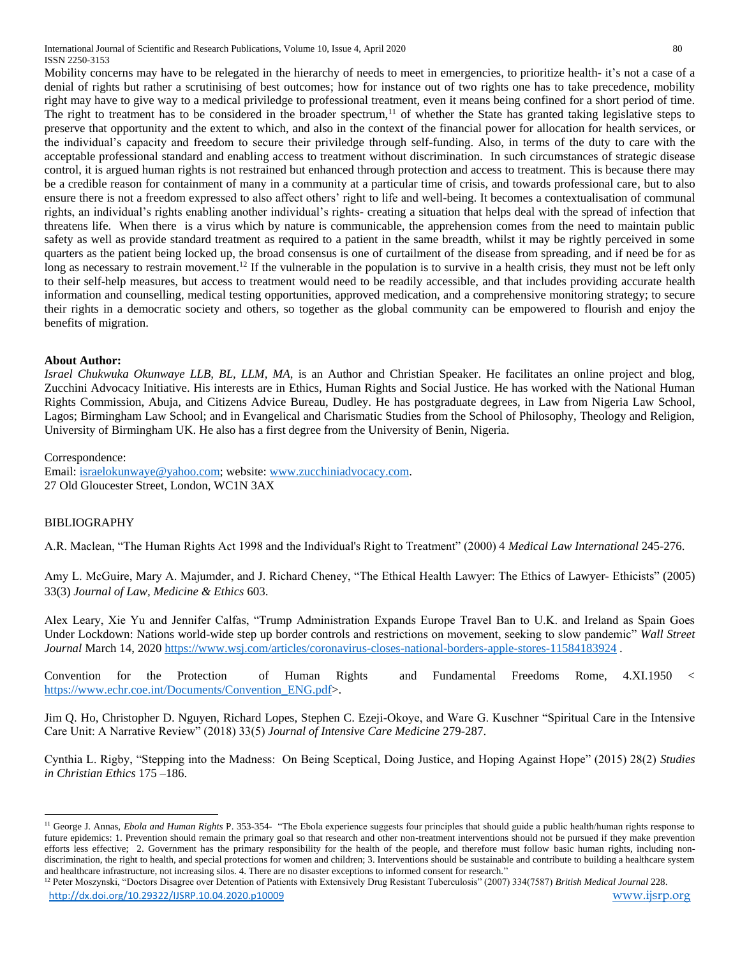International Journal of Scientific and Research Publications, Volume 10, Issue 4, April 2020 80 ISSN 2250-3153

Mobility concerns may have to be relegated in the hierarchy of needs to meet in emergencies, to prioritize health- it's not a case of a denial of rights but rather a scrutinising of best outcomes; how for instance out of two rights one has to take precedence, mobility right may have to give way to a medical priviledge to professional treatment, even it means being confined for a short period of time. The right to treatment has to be considered in the broader spectrum,<sup>11</sup> of whether the State has granted taking legislative steps to preserve that opportunity and the extent to which, and also in the context of the financial power for allocation for health services, or the individual's capacity and freedom to secure their priviledge through self-funding. Also, in terms of the duty to care with the acceptable professional standard and enabling access to treatment without discrimination. In such circumstances of strategic disease control, it is argued human rights is not restrained but enhanced through protection and access to treatment. This is because there may be a credible reason for containment of many in a community at a particular time of crisis, and towards professional care, but to also ensure there is not a freedom expressed to also affect others' right to life and well-being. It becomes a contextualisation of communal rights, an individual's rights enabling another individual's rights- creating a situation that helps deal with the spread of infection that threatens life. When there is a virus which by nature is communicable, the apprehension comes from the need to maintain public safety as well as provide standard treatment as required to a patient in the same breadth, whilst it may be rightly perceived in some quarters as the patient being locked up, the broad consensus is one of curtailment of the disease from spreading, and if need be for as long as necessary to restrain movement.<sup>12</sup> If the vulnerable in the population is to survive in a health crisis, they must not be left only to their self-help measures, but access to treatment would need to be readily accessible, and that includes providing accurate health information and counselling, medical testing opportunities, approved medication, and a comprehensive monitoring strategy; to secure their rights in a democratic society and others, so together as the global community can be empowered to flourish and enjoy the benefits of migration.

## **About Author:**

*Israel Chukwuka Okunwaye LLB, BL, LLM, MA*, is an Author and Christian Speaker. He facilitates an online project and blog, Zucchini Advocacy Initiative. His interests are in Ethics, Human Rights and Social Justice. He has worked with the National Human Rights Commission, Abuja, and Citizens Advice Bureau, Dudley. He has postgraduate degrees, in Law from Nigeria Law School, Lagos; Birmingham Law School; and in Evangelical and Charismatic Studies from the School of Philosophy, Theology and Religion, University of Birmingham UK. He also has a first degree from the University of Benin, Nigeria.

Correspondence:

Email: [israelokunwaye@yahoo.com;](mailto:israelokunwaye@yahoo.com) website: [www.zucchiniadvocacy.com.](http://www.zucchiniadvocacy.com/) 27 Old Gloucester Street, London, WC1N 3AX

## BIBLIOGRAPHY

 $\ddot{\phantom{a}}$ 

A.R. Maclean, "The Human Rights Act 1998 and the Individual's Right to Treatment" (2000) 4 *Medical Law International* 245-276.

Amy L. McGuire, Mary A. Majumder, and J. Richard Cheney, "The Ethical Health Lawyer: The Ethics of Lawyer- Ethicists" (2005) 33(3) *Journal of Law, Medicine & Ethics* 603.

Alex Leary, Xie Yu and Jennifer Calfas, "Trump Administration Expands Europe Travel Ban to U.K. and Ireland as Spain Goes Under Lockdown: Nations world-wide step up border controls and restrictions on movement, seeking to slow pandemic" *Wall Street Journal* March 14, 2020<https://www.wsj.com/articles/coronavirus-closes-national-borders-apple-stores-11584183924> .

Convention for the Protection of Human Rights and Fundamental Freedoms Rome, 4.XI.1950 < [https://www.echr.coe.int/Documents/Convention\\_ENG.pdf>](https://www.echr.coe.int/Documents/Convention_ENG.pdf).

Jim Q. Ho, Christopher D. Nguyen, Richard Lopes, Stephen C. Ezeji-Okoye, and Ware G. Kuschner "Spiritual Care in the Intensive Care Unit: A Narrative Review" (2018) 33(5) *Journal of Intensive Care Medicine* 279-287.

Cynthia L. Rigby, "Stepping into the Madness: On Being Sceptical, Doing Justice, and Hoping Against Hope" (2015) 28(2) *Studies in Christian Ethics* 175 –186.

<sup>&</sup>lt;sup>11</sup> George J. Annas, *Ebola and Human Rights P.* 353-354- "The Ebola experience suggests four principles that should guide a public health/human rights response to future epidemics: 1. Prevention should remain the primary goal so that research and other non-treatment interventions should not be pursued if they make prevention efforts less effective; 2. Government has the primary responsibility for the health of the people, and therefore must follow basic human rights, including nondiscrimination, the right to health, and special protections for women and children; 3. Interventions should be sustainable and contribute to building a healthcare system and healthcare infrastructure, not increasing silos. 4. There are no disaster exceptions to informed consent for research."

<http://dx.doi.org/10.29322/IJSRP.10.04.2020.p10009> [www.ijsrp.org](http://ijsrp.org/) <sup>12</sup> Peter Moszynski, "Doctors Disagree over Detention of Patients with Extensively Drug Resistant Tuberculosis" (2007) 334(7587) *British Medical Journal* 228.